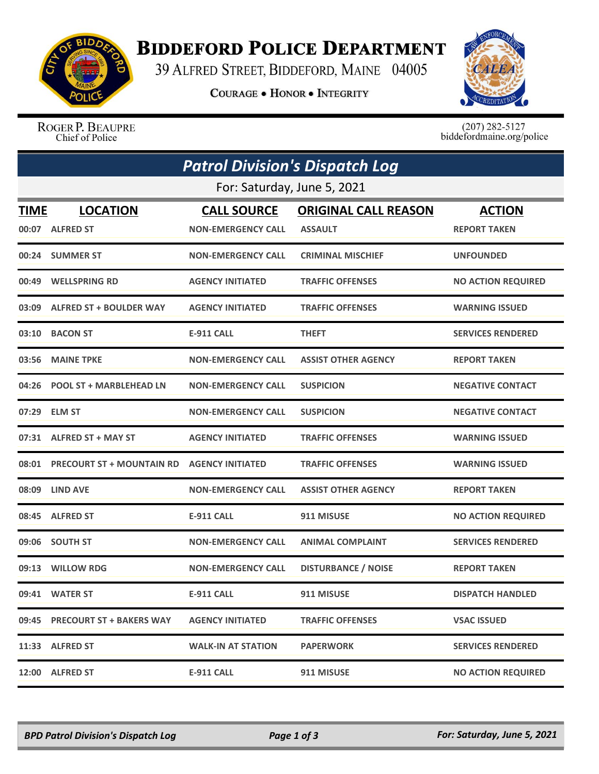

## **BIDDEFORD POLICE DEPARTMENT**

39 ALFRED STREET, BIDDEFORD, MAINE 04005

**COURAGE . HONOR . INTEGRITY** 



ROGER P. BEAUPRE Chief of Police

 $(207)$  282-5127<br>biddefordmaine.org/police

|             | <b>Patrol Division's Dispatch Log</b>            |                           |                             |                           |  |  |
|-------------|--------------------------------------------------|---------------------------|-----------------------------|---------------------------|--|--|
|             | For: Saturday, June 5, 2021                      |                           |                             |                           |  |  |
| <b>TIME</b> | <b>LOCATION</b>                                  | <b>CALL SOURCE</b>        | <b>ORIGINAL CALL REASON</b> | <b>ACTION</b>             |  |  |
|             | 00:07 ALFRED ST                                  | <b>NON-EMERGENCY CALL</b> | <b>ASSAULT</b>              | <b>REPORT TAKEN</b>       |  |  |
|             | 00:24 SUMMER ST                                  | <b>NON-EMERGENCY CALL</b> | <b>CRIMINAL MISCHIEF</b>    | <b>UNFOUNDED</b>          |  |  |
|             | 00:49 WELLSPRING RD                              | <b>AGENCY INITIATED</b>   | <b>TRAFFIC OFFENSES</b>     | <b>NO ACTION REQUIRED</b> |  |  |
|             | 03:09 ALFRED ST + BOULDER WAY                    | <b>AGENCY INITIATED</b>   | <b>TRAFFIC OFFENSES</b>     | <b>WARNING ISSUED</b>     |  |  |
|             | 03:10 BACON ST                                   | <b>E-911 CALL</b>         | <b>THEFT</b>                | <b>SERVICES RENDERED</b>  |  |  |
|             | 03:56 MAINE TPKE                                 | <b>NON-EMERGENCY CALL</b> | <b>ASSIST OTHER AGENCY</b>  | <b>REPORT TAKEN</b>       |  |  |
|             | 04:26 POOL ST + MARBLEHEAD LN                    | <b>NON-EMERGENCY CALL</b> | <b>SUSPICION</b>            | <b>NEGATIVE CONTACT</b>   |  |  |
|             | 07:29 ELM ST                                     | <b>NON-EMERGENCY CALL</b> | <b>SUSPICION</b>            | <b>NEGATIVE CONTACT</b>   |  |  |
|             | 07:31 ALFRED ST + MAY ST                         | <b>AGENCY INITIATED</b>   | <b>TRAFFIC OFFENSES</b>     | <b>WARNING ISSUED</b>     |  |  |
|             | 08:01 PRECOURT ST + MOUNTAIN RD AGENCY INITIATED |                           | <b>TRAFFIC OFFENSES</b>     | <b>WARNING ISSUED</b>     |  |  |
|             | 08:09 LIND AVE                                   | <b>NON-EMERGENCY CALL</b> | <b>ASSIST OTHER AGENCY</b>  | <b>REPORT TAKEN</b>       |  |  |
|             | 08:45 ALFRED ST                                  | <b>E-911 CALL</b>         | 911 MISUSE                  | <b>NO ACTION REQUIRED</b> |  |  |
|             | 09:06 SOUTH ST                                   | <b>NON-EMERGENCY CALL</b> | <b>ANIMAL COMPLAINT</b>     | <b>SERVICES RENDERED</b>  |  |  |
|             | 09:13 WILLOW RDG                                 | <b>NON-EMERGENCY CALL</b> | <b>DISTURBANCE / NOISE</b>  | <b>REPORT TAKEN</b>       |  |  |
|             | 09:41 WATER ST                                   | <b>E-911 CALL</b>         | 911 MISUSE                  | <b>DISPATCH HANDLED</b>   |  |  |
| 09:45       | <b>PRECOURT ST + BAKERS WAY</b>                  | <b>AGENCY INITIATED</b>   | <b>TRAFFIC OFFENSES</b>     | <b>VSAC ISSUED</b>        |  |  |
|             | 11:33 ALFRED ST                                  | <b>WALK-IN AT STATION</b> | <b>PAPERWORK</b>            | <b>SERVICES RENDERED</b>  |  |  |
|             | 12:00 ALFRED ST                                  | <b>E-911 CALL</b>         | 911 MISUSE                  | <b>NO ACTION REQUIRED</b> |  |  |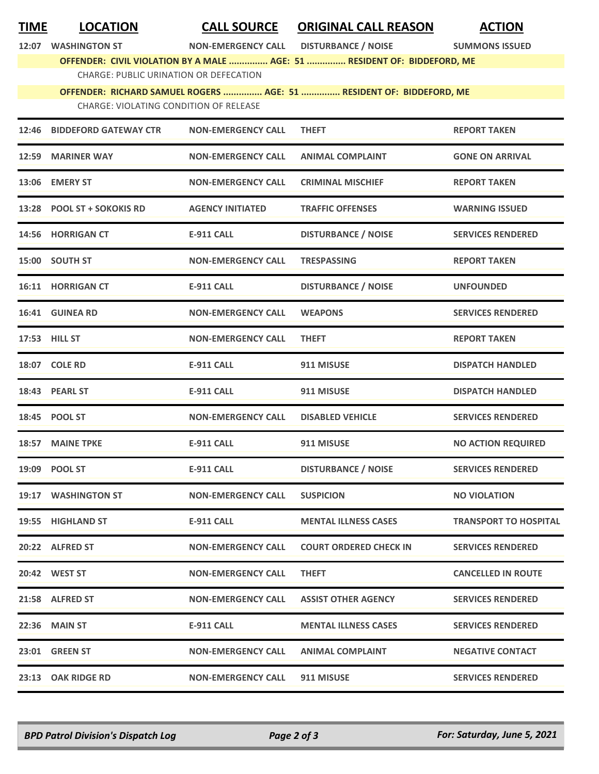| <u>TIME</u> | <b>LOCATION</b>                                                          | <b>CALL SOURCE</b>            | <b>ORIGINAL CALL REASON</b>                                          | <b>ACTION</b>                |  |  |
|-------------|--------------------------------------------------------------------------|-------------------------------|----------------------------------------------------------------------|------------------------------|--|--|
| 12:07       | <b>WASHINGTON ST</b>                                                     | <b>NON-EMERGENCY CALL</b>     | <b>DISTURBANCE / NOISE</b>                                           | <b>SUMMONS ISSUED</b>        |  |  |
|             | OFFENDER: CIVIL VIOLATION BY A MALE  AGE: 51  RESIDENT OF: BIDDEFORD, ME |                               |                                                                      |                              |  |  |
|             | <b>CHARGE: PUBLIC URINATION OR DEFECATION</b>                            |                               |                                                                      |                              |  |  |
|             |                                                                          |                               | OFFENDER: RICHARD SAMUEL ROGERS  AGE: 51  RESIDENT OF: BIDDEFORD, ME |                              |  |  |
|             | <b>CHARGE: VIOLATING CONDITION OF RELEASE</b>                            |                               |                                                                      |                              |  |  |
| 12:46       | <b>BIDDEFORD GATEWAY CTR</b>                                             | <b>NON-EMERGENCY CALL</b>     | <b>THEFT</b>                                                         | <b>REPORT TAKEN</b>          |  |  |
|             | 12:59 MARINER WAY                                                        | <b>NON-EMERGENCY CALL</b>     | <b>ANIMAL COMPLAINT</b>                                              | <b>GONE ON ARRIVAL</b>       |  |  |
|             | 13:06 EMERY ST                                                           | <b>NON-EMERGENCY CALL</b>     | <b>CRIMINAL MISCHIEF</b>                                             | <b>REPORT TAKEN</b>          |  |  |
|             | 13:28 POOL ST + SOKOKIS RD                                               | <b>AGENCY INITIATED</b>       | <b>TRAFFIC OFFENSES</b>                                              | <b>WARNING ISSUED</b>        |  |  |
|             | 14:56 HORRIGAN CT                                                        | <b>E-911 CALL</b>             | <b>DISTURBANCE / NOISE</b>                                           | <b>SERVICES RENDERED</b>     |  |  |
|             | 15:00 SOUTH ST                                                           | <b>NON-EMERGENCY CALL</b>     | <b>TRESPASSING</b>                                                   | <b>REPORT TAKEN</b>          |  |  |
|             | 16:11 HORRIGAN CT                                                        | <b>E-911 CALL</b>             | <b>DISTURBANCE / NOISE</b>                                           | <b>UNFOUNDED</b>             |  |  |
|             | 16:41 GUINEA RD                                                          | <b>NON-EMERGENCY CALL</b>     | <b>WEAPONS</b>                                                       | <b>SERVICES RENDERED</b>     |  |  |
|             | 17:53 HILL ST                                                            | <b>NON-EMERGENCY CALL</b>     | <b>THEFT</b>                                                         | <b>REPORT TAKEN</b>          |  |  |
|             | 18:07 COLE RD                                                            | <b>E-911 CALL</b>             | 911 MISUSE                                                           | <b>DISPATCH HANDLED</b>      |  |  |
|             | 18:43 PEARL ST                                                           | <b>E-911 CALL</b>             | 911 MISUSE                                                           | <b>DISPATCH HANDLED</b>      |  |  |
|             | 18:45 POOL ST                                                            | <b>NON-EMERGENCY CALL</b>     | <b>DISABLED VEHICLE</b>                                              | <b>SERVICES RENDERED</b>     |  |  |
|             | 18:57 MAINE TPKE                                                         | <b>E-911 CALL</b>             | 911 MISUSE                                                           | <b>NO ACTION REQUIRED</b>    |  |  |
|             | 19:09 POOL ST                                                            | <b>E-911 CALL</b>             | <b>DISTURBANCE / NOISE</b>                                           | <b>SERVICES RENDERED</b>     |  |  |
|             | 19:17 WASHINGTON ST                                                      | <b>NON-EMERGENCY CALL</b>     | <b>SUSPICION</b>                                                     | <b>NO VIOLATION</b>          |  |  |
|             | 19:55 HIGHLAND ST                                                        | E-911 CALL                    | <b>MENTAL ILLNESS CASES</b>                                          | <b>TRANSPORT TO HOSPITAL</b> |  |  |
|             | 20:22 ALFRED ST                                                          | <b>NON-EMERGENCY CALL</b>     | <b>COURT ORDERED CHECK IN</b>                                        | <b>SERVICES RENDERED</b>     |  |  |
|             | 20:42 WEST ST                                                            | <b>NON-EMERGENCY CALL</b>     | <b>THEFT</b>                                                         | <b>CANCELLED IN ROUTE</b>    |  |  |
|             | 21:58 ALFRED ST                                                          | <b>NON-EMERGENCY CALL</b>     | <b>ASSIST OTHER AGENCY</b>                                           | <b>SERVICES RENDERED</b>     |  |  |
|             | <b>22:36 MAIN ST</b>                                                     | E-911 CALL                    | <b>MENTAL ILLNESS CASES</b>                                          | <b>SERVICES RENDERED</b>     |  |  |
|             | 23:01 GREEN ST                                                           | <b>NON-EMERGENCY CALL</b>     | <b>ANIMAL COMPLAINT</b>                                              | <b>NEGATIVE CONTACT</b>      |  |  |
|             | 23:13 OAK RIDGE RD                                                       | NON-EMERGENCY CALL 911 MISUSE |                                                                      | <b>SERVICES RENDERED</b>     |  |  |